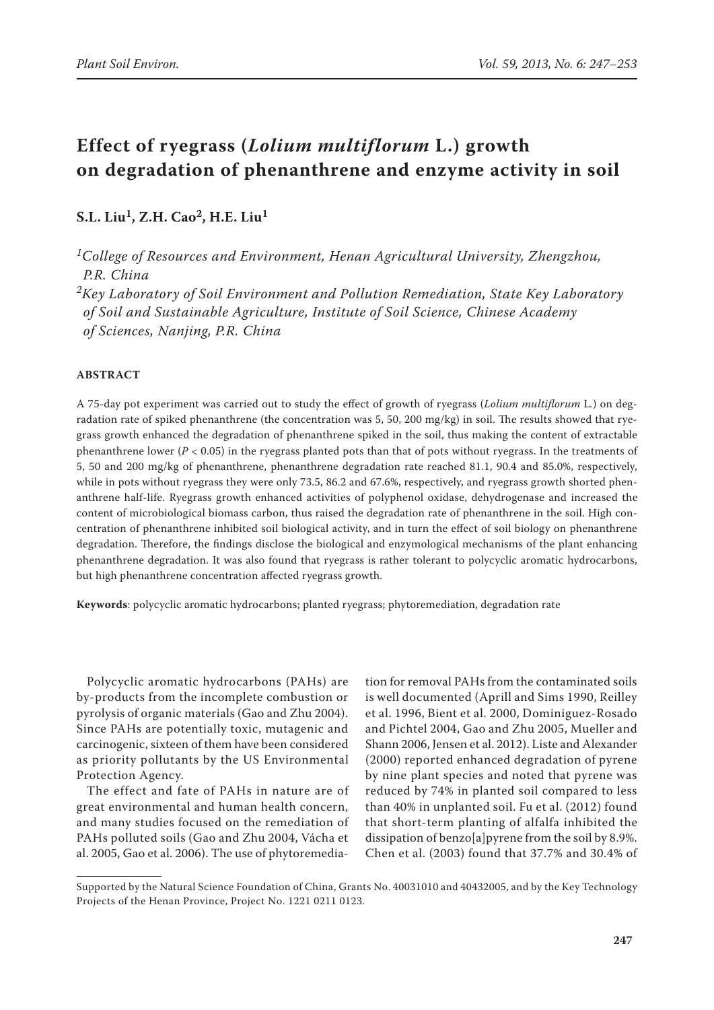# **Effect of ryegrass (***Lolium multiflorum* **L.) growth on degradation of phenanthrene and enzyme activity in soil**

# **S.L. Liu1, Z.H. Cao2, H.E. Liu1**

*1College of Resources and Environment, Henan Agricultural University, Zhengzhou, P.R. China*

*2Key Laboratory of Soil Environment and Pollution Remediation, State Key Laboratory of Soil and Sustainable Agriculture, Institute of Soil Science, Chinese Academy of Sciences, Nanjing, P.R. China*

# **ABSTRACT**

A 75-day pot experiment was carried out to study the effect of growth of ryegrass (*Lolium multiflorum* L*.*) on degradation rate of spiked phenanthrene (the concentration was 5, 50, 200 mg/kg) in soil. The results showed that ryegrass growth enhanced the degradation of phenanthrene spiked in the soil, thus making the content of extractable phenanthrene lower ( $P < 0.05$ ) in the ryegrass planted pots than that of pots without ryegrass. In the treatments of 5, 50 and 200 mg/kg of phenanthrene, phenanthrene degradation rate reached 81.1, 90.4 and 85.0%, respectively, while in pots without ryegrass they were only 73.5, 86.2 and 67.6%, respectively, and ryegrass growth shorted phenanthrene half-life. Ryegrass growth enhanced activities of polyphenol oxidase, dehydrogenase and increased the content of microbiological biomass carbon, thus raised the degradation rate of phenanthrene in the soil. High concentration of phenanthrene inhibited soil biological activity, and in turn the effect of soil biology on phenanthrene degradation. Therefore, the findings disclose the biological and enzymological mechanisms of the plant enhancing phenanthrene degradation. It was also found that ryegrass is rather tolerant to polycyclic aromatic hydrocarbons, but high phenanthrene concentration affected ryegrass growth.

**Keywords**: polycyclic aromatic hydrocarbons; planted ryegrass; phytoremediation, degradation rate

Polycyclic aromatic hydrocarbons (PAHs) are by-products from the incomplete combustion or pyrolysis of organic materials (Gao and Zhu 2004). Since PAHs are potentially toxic, mutagenic and carcinogenic, sixteen of them have been considered as priority pollutants by the US Environmental Protection Agency.

The effect and fate of PAHs in nature are of great environmental and human health concern, and many studies focused on the remediation of PAHs polluted soils (Gao and Zhu 2004, Vácha et al. 2005, Gao et al. 2006). The use of phytoremedia-

tion for removal PAHs from the contaminated soils is well documented (Aprill and Sims 1990, Reilley et al. 1996, Bient et al. 2000, Dominiguez-Rosado and Pichtel 2004, Gao and Zhu 2005, Mueller and Shann 2006, Jensen et al. 2012). Liste and Alexander (2000) reported enhanced degradation of pyrene by nine plant species and noted that pyrene was reduced by 74% in planted soil compared to less than 40% in unplanted soil. Fu et al. (2012) found that short-term planting of alfalfa inhibited the dissipation of benzo[a]pyrene from the soil by 8.9%. Chen et al. (2003) found that 37.7% and 30.4% of

Supported by the Natural Science Foundation of China, Grants No. 40031010 and 40432005, and by the Key Technology Projects of the Henan Province, Project No. 1221 0211 0123.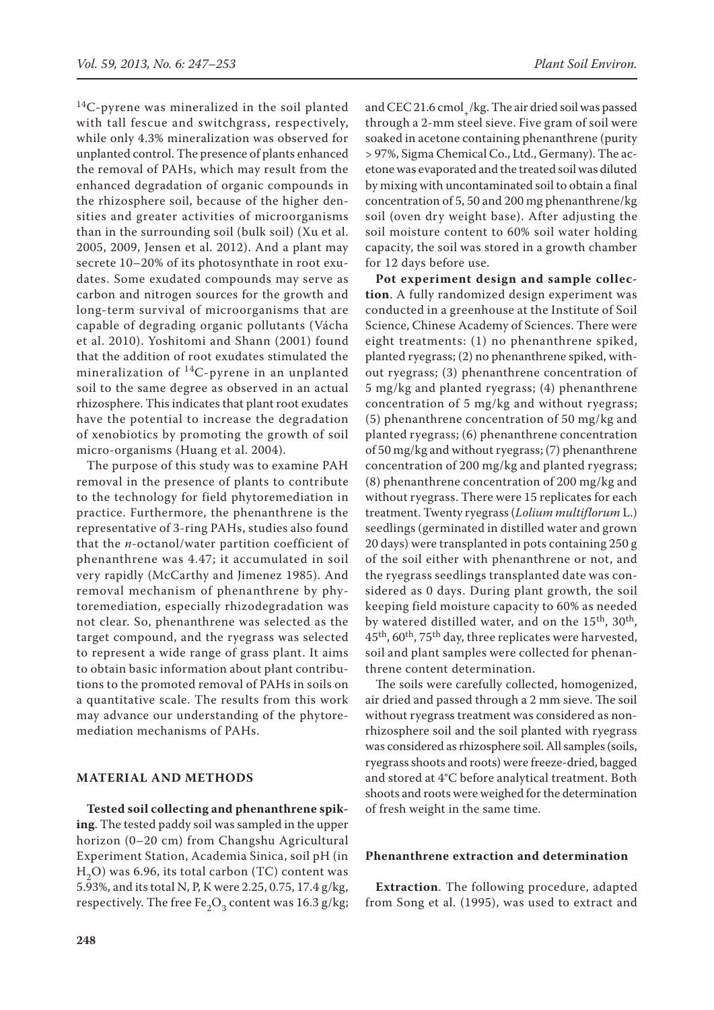14C-pyrene was mineralized in the soil planted with tall fescue and switchgrass, respectively, while only 4.3% mineralization was observed for unplanted control. The presence of plants enhanced the removal of PAHs, which may result from the enhanced degradation of organic compounds in the rhizosphere soil, because of the higher densities and greater activities of microorganisms than in the surrounding soil (bulk soil) (Xu et al. 2005, 2009, Jensen et al. 2012). And a plant may secrete 10–20% of its photosynthate in root exudates. Some exudated compounds may serve as carbon and nitrogen sources for the growth and long-term survival of microorganisms that are capable of degrading organic pollutants (Vácha et al. 2010). Yoshitomi and Shann (2001) found that the addition of root exudates stimulated the mineralization of  $^{14}$ C-pyrene in an unplanted soil to the same degree as observed in an actual rhizosphere. This indicates that plant root exudates have the potential to increase the degradation of xenobiotics by promoting the growth of soil micro-organisms (Huang et al. 2004).

The purpose of this study was to examine PAH removal in the presence of plants to contribute to the technology for field phytoremediation in practice. Furthermore, the phenanthrene is the representative of 3-ring PAHs, studies also found that the *n*-octanol/water partition coefficient of phenanthrene was 4.47; it accumulated in soil very rapidly (McCarthy and Jimenez 1985). And removal mechanism of phenanthrene by phytoremediation, especially rhizodegradation was not clear. So, phenanthrene was selected as the target compound, and the ryegrass was selected to represent a wide range of grass plant. It aims to obtain basic information about plant contributions to the promoted removal of PAHs in soils on a quantitative scale. The results from this work may advance our understanding of the phytoremediation mechanisms of PAHs.

#### **MATERIAL AND METHODS**

**Tested soil collecting and phenanthrene spiking**. The tested paddy soil was sampled in the upper horizon (0–20 cm) from Changshu Agricultural Experiment Station, Academia Sinica, soil pH (in  $H<sub>2</sub>O$ ) was 6.96, its total carbon (TC) content was 5.93%, and its total N, P, K were 2.25, 0.75, 17.4 g/kg, respectively. The free Fe<sub>2</sub>O<sub>3</sub> content was 16.3 g/kg; and CEC 21.6 cmol /kg. The air dried soil was passed through a 2-mm steel sieve. Five gram of soil were soaked in acetone containing phenanthrene (purity > 97%, Sigma Chemical Co., Ltd., Germany). The acetone was evaporated and the treated soil was diluted by mixing with uncontaminated soil to obtain a final concentration of 5, 50 and 200 mg phenanthrene/kg soil (oven dry weight base). After adjusting the soil moisture content to 60% soil water holding capacity, the soil was stored in a growth chamber for 12 days before use.

**Pot experiment design and sample collection**. A fully randomized design experiment was conducted in a greenhouse at the Institute of Soil Science, Chinese Academy of Sciences. There were eight treatments: (1) no phenanthrene spiked, planted ryegrass; (2) no phenanthrene spiked, without ryegrass; (3) phenanthrene concentration of 5 mg/kg and planted ryegrass; (4) phenanthrene concentration of 5 mg/kg and without ryegrass; (5) phenanthrene concentration of 50 mg/kg and planted ryegrass; (6) phenanthrene concentration of 50 mg/kg and without ryegrass; (7) phenanthrene concentration of 200 mg/kg and planted ryegrass; (8) phenanthrene concentration of 200 mg/kg and without ryegrass. There were 15 replicates for each treatment. Twenty ryegrass (*Lolium multiflorum* L.) seedlings (germinated in distilled water and grown 20 days) were transplanted in pots containing 250 g of the soil either with phenanthrene or not, and the ryegrass seedlings transplanted date was considered as 0 days. During plant growth, the soil keeping field moisture capacity to 60% as needed by watered distilled water, and on the 15<sup>th</sup>, 30<sup>th</sup>,  $45<sup>th</sup>$ , 60<sup>th</sup>, 75<sup>th</sup> day, three replicates were harvested, soil and plant samples were collected for phenanthrene content determination.

The soils were carefully collected, homogenized, air dried and passed through a 2 mm sieve. The soil without ryegrass treatment was considered as nonrhizosphere soil and the soil planted with ryegrass was considered as rhizosphere soil. All samples (soils, ryegrass shoots and roots) were freeze-dried, bagged and stored at 4°C before analytical treatment. Both shoots and roots were weighed for the determination of fresh weight in the same time.

#### **Phenanthrene extraction and determination**

**Extraction**. The following procedure, adapted from Song et al. (1995), was used to extract and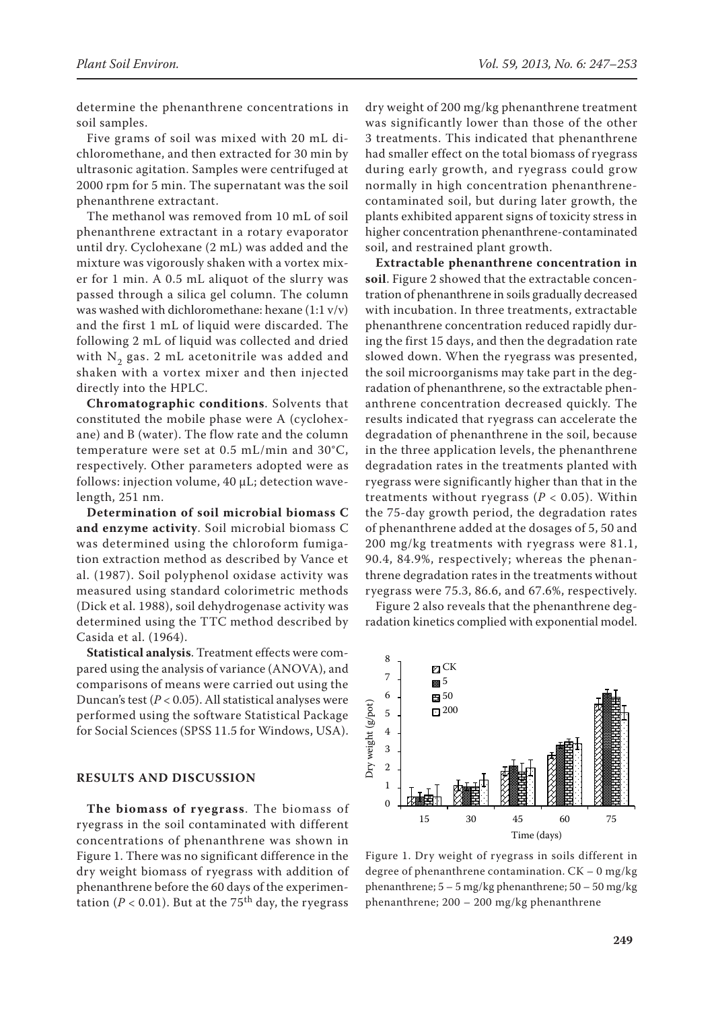determine the phenanthrene concentrations in soil samples.

Five grams of soil was mixed with 20 mL dichloromethane, and then extracted for 30 min by ultrasonic agitation. Samples were centrifuged at 2000 rpm for 5 min. The supernatant was the soil phenanthrene extractant.

The methanol was removed from 10 mL of soil phenanthrene extractant in a rotary evaporator until dry. Cyclohexane (2 mL) was added and the mixture was vigorously shaken with a vortex mixer for 1 min. A 0.5 mL aliquot of the slurry was passed through a silica gel column. The column was washed with dichloromethane: hexane (1:1 v/v) and the first 1 mL of liquid were discarded. The following 2 mL of liquid was collected and dried with  $N<sub>2</sub>$  gas. 2 mL acetonitrile was added and shaken with a vortex mixer and then injected directly into the HPLC.

**Chromatographic conditions**. Solvents that constituted the mobile phase were A (cyclohexane) and B (water). The flow rate and the column temperature were set at 0.5 mL/min and 30°C, respectively. Other parameters adopted were as follows: injection volume, 40 μL; detection wavelength, 251 nm.

**Determination of soil microbial biomass C and enzyme activity**. Soil microbial biomass C was determined using the chloroform fumigation extraction method as described by Vance et al. (1987). Soil polyphenol oxidase activity was measured using standard colorimetric methods (Dick et al. 1988), soil dehydrogenase activity was determined using the TTC method described by Casida et al. (1964).

**Statistical analysis**. Treatment effects were compared using the analysis of variance (ANOVA), and comparisons of means were carried out using the Duncan's test (*P* < 0.05). All statistical analyses were performed using the software Statistical Package for Social Sciences (SPSS 11.5 for Windows, USA).

### **RESULTS AND DISCUSSION**

**The biomass of ryegrass**. The biomass of ryegrass in the soil contaminated with different concentrations of phenanthrene was shown in Figure 1. There was no significant difference in the dry weight biomass of ryegrass with addition of phenanthrene before the 60 days of the experimentation ( $P < 0.01$ ). But at the 75<sup>th</sup> day, the ryegrass

dry weight of 200 mg/kg phenanthrene treatment was significantly lower than those of the other 3 treatments. This indicated that phenanthrene had smaller effect on the total biomass of ryegrass during early growth, and ryegrass could grow normally in high concentration phenanthrenecontaminated soil, but during later growth, the plants exhibited apparent signs of toxicity stress in higher concentration phenanthrene-contaminated soil, and restrained plant growth.

**Extractable phenanthrene concentration in soil**. Figure 2 showed that the extractable concentration of phenanthrene in soils gradually decreased with incubation. In three treatments, extractable phenanthrene concentration reduced rapidly during the first 15 days, and then the degradation rate slowed down. When the ryegrass was presented, the soil microorganisms may take part in the degradation of phenanthrene, so the extractable phenanthrene concentration decreased quickly. The results indicated that ryegrass can accelerate the degradation of phenanthrene in the soil, because in the three application levels, the phenanthrene degradation rates in the treatments planted with ryegrass were significantly higher than that in the treatments without ryegrass (*P* < 0.05). Within the 75-day growth period, the degradation rates of phenanthrene added at the dosages of 5, 50 and 200 mg/kg treatments with ryegrass were 81.1, 90.4, 84.9%, respectively; whereas the phenanthrene degradation rates in the treatments without ryegrass were 75.3, 86.6, and 67.6%, respectively.

Figure 2 also reveals that the phenanthrene degradation kinetics complied with exponential model.



Figure 1. Dry weight of ryegrass in soils different in degree of phenanthrene contamination. CK – 0 mg/kg phenanthrene; 5 – 5 mg/kg phenanthrene; 50 – 50 mg/kg phenanthrene; 200 – 200 mg/kg phenanthrene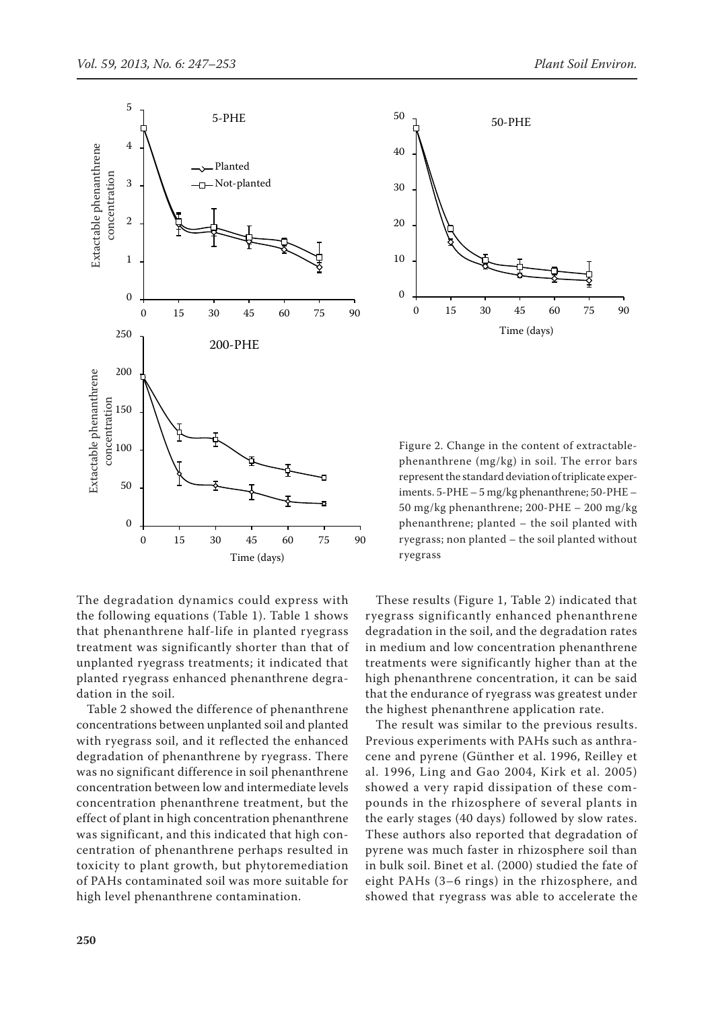



Figure 2. Change in the content of extractablephenanthrene (mg/kg) in soil. The error bars represent the standard deviation of triplicate experiments. 5-PHE – 5 mg/kg phenanthrene; 50-PHE – 50 mg/kg phenanthrene; 200-PHE – 200 mg/kg phenanthrene; planted – the soil planted with ryegrass; non planted – the soil planted without ryegrass

The degradation dynamics could express with the following equations (Table 1). Table 1 shows that phenanthrene half-life in planted ryegrass treatment was significantly shorter than that of unplanted ryegrass treatments; it indicated that planted ryegrass enhanced phenanthrene degradation in the soil.

Table 2 showed the difference of phenanthrene concentrations between unplanted soil and planted with ryegrass soil, and it reflected the enhanced degradation of phenanthrene by ryegrass. There was no significant difference in soil phenanthrene concentration between low and intermediate levels concentration phenanthrene treatment, but the effect of plant in high concentration phenanthrene was significant, and this indicated that high concentration of phenanthrene perhaps resulted in toxicity to plant growth, but phytoremediation of PAHs contaminated soil was more suitable for high level phenanthrene contamination.

These results (Figure 1, Table 2) indicated that ryegrass significantly enhanced phenanthrene degradation in the soil, and the degradation rates in medium and low concentration phenanthrene treatments were significantly higher than at the high phenanthrene concentration, it can be said that the endurance of ryegrass was greatest under the highest phenanthrene application rate.

The result was similar to the previous results. Previous experiments with PAHs such as anthracene and pyrene (Günther et al. 1996, Reilley et al. 1996, Ling and Gao 2004, Kirk et al. 2005) showed a very rapid dissipation of these compounds in the rhizosphere of several plants in the early stages (40 days) followed by slow rates. These authors also reported that degradation of pyrene was much faster in rhizosphere soil than in bulk soil. Binet et al. (2000) studied the fate of eight PAHs (3–6 rings) in the rhizosphere, and showed that ryegrass was able to accelerate the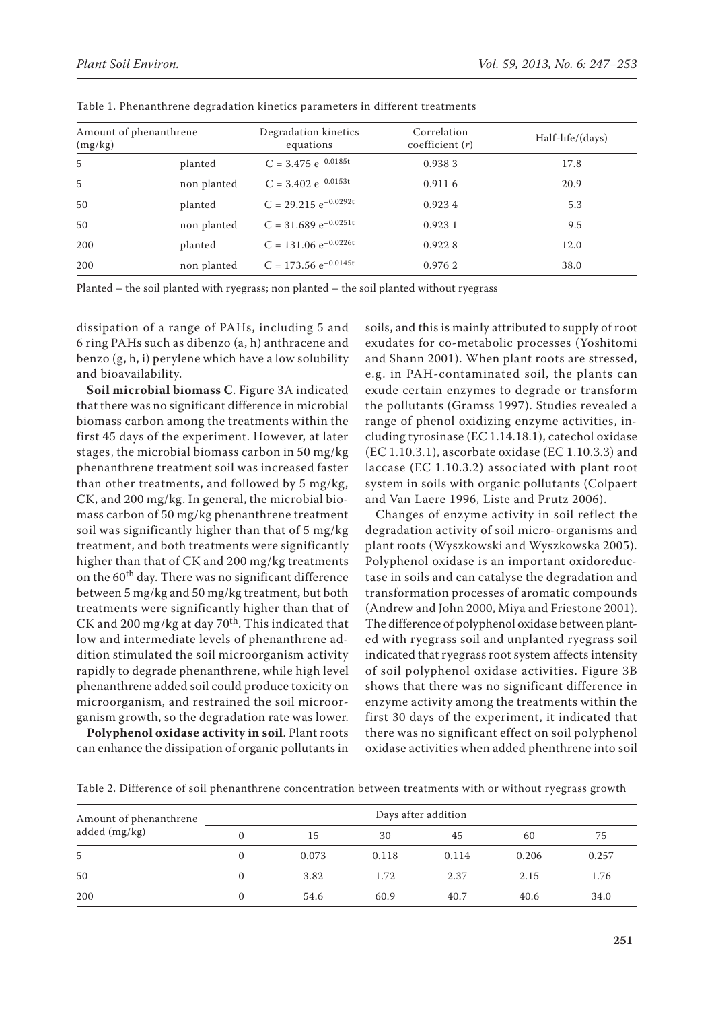| Amount of phenanthrene<br>(mg/kg) |             | Degradation kinetics<br>equations | Correlation<br>coefficient $(r)$ | Half-life/(days) |  |
|-----------------------------------|-------------|-----------------------------------|----------------------------------|------------------|--|
| 5                                 | planted     | $C = 3.475 e^{-0.0185t}$          | 0.9383                           | 17.8             |  |
| 5                                 | non planted | $C = 3.402 e^{-0.0153t}$          | 0.9116                           | 20.9             |  |
| 50                                | planted     | $C = 29.215 e^{-0.0292t}$         | 0.9234                           | 5.3              |  |
| 50                                | non planted | $C = 31.689 e^{-0.0251t}$         | 0.9231                           | 9.5              |  |
| 200                               | planted     | $C = 131.06 e^{-0.0226t}$         | 0.9228                           | 12.0             |  |
| 200                               | non planted | $C = 173.56 e^{-0.0145t}$         | 0.9762                           | 38.0             |  |

Table 1. Phenanthrene degradation kinetics parameters in different treatments

Planted – the soil planted with ryegrass; non planted – the soil planted without ryegrass

dissipation of a range of PAHs, including 5 and 6 ring PAHs such as dibenzo (a, h) anthracene and benzo (g, h, i) perylene which have a low solubility and bioavailability.

**Soil microbial biomass C**. Figure 3A indicated that there was no significant difference in microbial biomass carbon among the treatments within the first 45 days of the experiment. However, at later stages, the microbial biomass carbon in 50 mg/kg phenanthrene treatment soil was increased faster than other treatments, and followed by 5 mg/kg, CK, and 200 mg/kg. In general, the microbial biomass carbon of 50 mg/kg phenanthrene treatment soil was significantly higher than that of 5 mg/kg treatment, and both treatments were significantly higher than that of CK and 200 mg/kg treatments on the 60<sup>th</sup> day. There was no significant difference between 5 mg/kg and 50 mg/kg treatment, but both treatments were significantly higher than that of CK and 200 mg/kg at day  $70<sup>th</sup>$ . This indicated that low and intermediate levels of phenanthrene addition stimulated the soil microorganism activity rapidly to degrade phenanthrene, while high level phenanthrene added soil could produce toxicity on microorganism, and restrained the soil microorganism growth, so the degradation rate was lower.

**Polyphenol oxidase activity in soil**. Plant roots can enhance the dissipation of organic pollutants in

soils, and this is mainly attributed to supply of root exudates for co-metabolic processes (Yoshitomi and Shann 2001). When plant roots are stressed, e.g. in PAH-contaminated soil, the plants can exude certain enzymes to degrade or transform the pollutants (Gramss 1997). Studies revealed a range of phenol oxidizing enzyme activities, including tyrosinase (EC 1.14.18.1), catechol oxidase (EC 1.10.3.1), ascorbate oxidase (EC 1.10.3.3) and laccase (EC 1.10.3.2) associated with plant root system in soils with organic pollutants (Colpaert and Van Laere 1996, Liste and Prutz 2006).

Changes of enzyme activity in soil reflect the degradation activity of soil micro-organisms and plant roots (Wyszkowski and Wyszkowska 2005). Polyphenol oxidase is an important oxidoreductase in soils and can catalyse the degradation and transformation processes of aromatic compounds (Andrew and John 2000, Miya and Friestone 2001). The difference of polyphenol oxidase between planted with ryegrass soil and unplanted ryegrass soil indicated that ryegrass root system affects intensity of soil polyphenol oxidase activities. Figure 3B shows that there was no significant difference in enzyme activity among the treatments within the first 30 days of the experiment, it indicated that there was no significant effect on soil polyphenol oxidase activities when added phenthrene into soil

Table 2. Difference of soil phenanthrene concentration between treatments with or without ryegrass growth

| Amount of phenanthrene | Days after addition |       |       |       |       |       |  |
|------------------------|---------------------|-------|-------|-------|-------|-------|--|
| added (mg/kg)          |                     | 15    | 30    | 45    | 60    | 75    |  |
| 5                      |                     | 0.073 | 0.118 | 0.114 | 0.206 | 0.257 |  |
| 50                     | 0                   | 3.82  | 1.72  | 2.37  | 2.15  | 1.76  |  |
| 200                    | 0                   | 54.6  | 60.9  | 40.7  | 40.6  | 34.0  |  |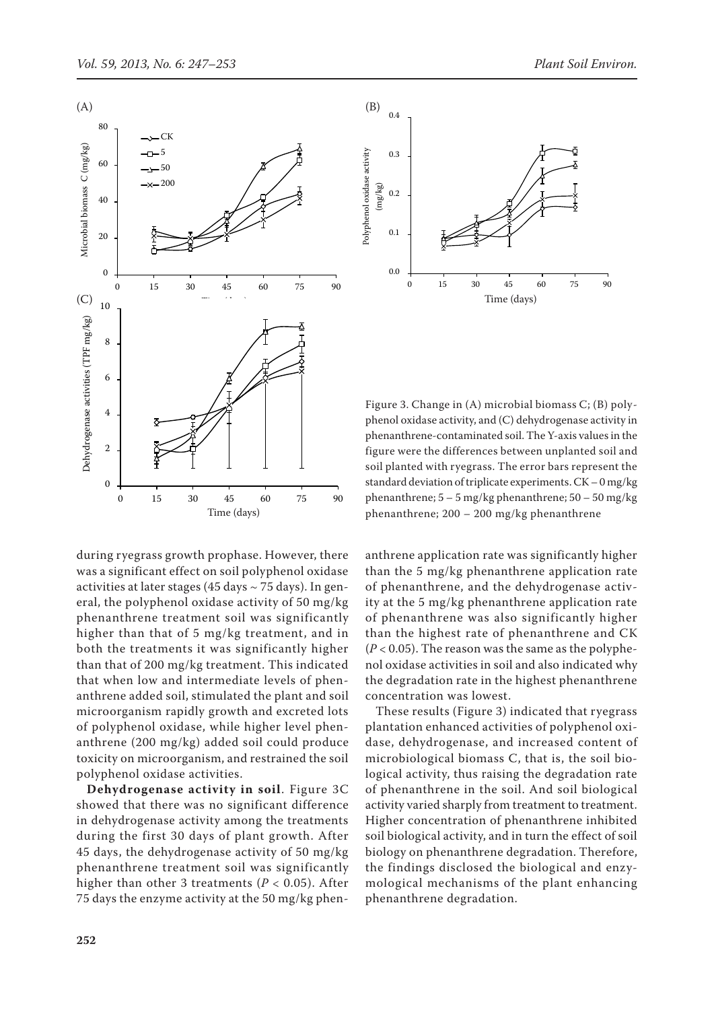

during ryegrass growth prophase. However, there was a significant effect on soil polyphenol oxidase activities at later stages (45 days  $\sim$  75 days). In general, the polyphenol oxidase activity of 50 mg/kg phenanthrene treatment soil was significantly higher than that of 5 mg/kg treatment, and in both the treatments it was significantly higher than that of 200 mg/kg treatment. This indicated that when low and intermediate levels of phenanthrene added soil, stimulated the plant and soil microorganism rapidly growth and excreted lots of polyphenol oxidase, while higher level phenanthrene (200 mg/kg) added soil could produce toxicity on microorganism, and restrained the soil polyphenol oxidase activities.

**Dehydrogenase activity in soil**. Figure 3C showed that there was no significant difference in dehydrogenase activity among the treatments during the first 30 days of plant growth. After 45 days, the dehydrogenase activity of 50 mg/kg phenanthrene treatment soil was significantly higher than other 3 treatments (*P* < 0.05). After 75 days the enzyme activity at the 50 mg/kg phen-



Figure 3. Change in (A) microbial biomass C; (B) polyphenol oxidase activity, and (C) dehydrogenase activity in phenanthrene-contaminated soil. The Y-axis values in the figure were the differences between unplanted soil and soil planted with ryegrass. The error bars represent the standard deviation of triplicate experiments. CK – 0 mg/kg phenanthrene;  $5 - 5$  mg/kg phenanthrene;  $50 - 50$  mg/kg phenanthrene; 200 – 200 mg/kg phenanthrene

anthrene application rate was significantly higher than the 5 mg/kg phenanthrene application rate of phenanthrene, and the dehydrogenase activity at the 5 mg/kg phenanthrene application rate of phenanthrene was also significantly higher than the highest rate of phenanthrene and CK  $(P < 0.05)$ . The reason was the same as the polyphenol oxidase activities in soil and also indicated why the degradation rate in the highest phenanthrene concentration was lowest.

These results (Figure 3) indicated that ryegrass plantation enhanced activities of polyphenol oxidase, dehydrogenase, and increased content of microbiological biomass C, that is, the soil biological activity, thus raising the degradation rate of phenanthrene in the soil. And soil biological activity varied sharply from treatment to treatment. Higher concentration of phenanthrene inhibited soil biological activity, and in turn the effect of soil biology on phenanthrene degradation. Therefore, the findings disclosed the biological and enzymological mechanisms of the plant enhancing phenanthrene degradation.